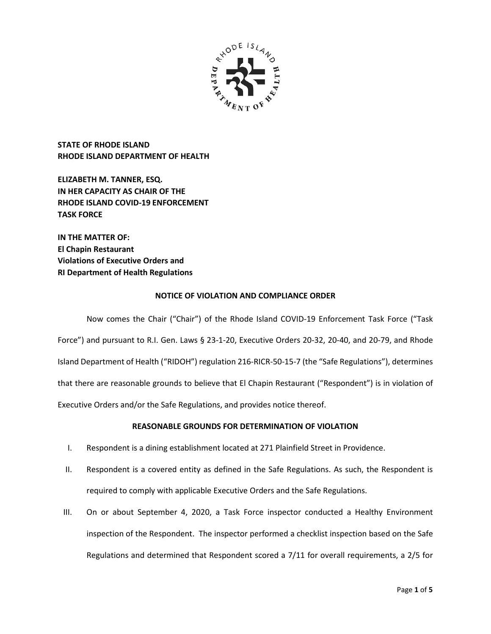

**STATE OF RHODE ISLAND RHODE ISLAND DEPARTMENT OF HEALTH**

**ELIZABETH M. TANNER, ESQ. IN HER CAPACITY AS CHAIR OF THE RHODE ISLAND COVID-19 ENFORCEMENT TASK FORCE** 

**IN THE MATTER OF: El Chapin Restaurant Violations of Executive Orders and RI Department of Health Regulations**

# **NOTICE OF VIOLATION AND COMPLIANCE ORDER**

Now comes the Chair ("Chair") of the Rhode Island COVID-19 Enforcement Task Force ("Task Force") and pursuant to R.I. Gen. Laws § 23-1-20, Executive Orders 20-32, 20-40, and 20-79, and Rhode Island Department of Health ("RIDOH") regulation 216-RICR-50-15-7 (the "Safe Regulations"), determines that there are reasonable grounds to believe that El Chapin Restaurant ("Respondent") is in violation of Executive Orders and/or the Safe Regulations, and provides notice thereof.

# **REASONABLE GROUNDS FOR DETERMINATION OF VIOLATION**

- I. Respondent is a dining establishment located at 271 Plainfield Street in Providence.
- II. Respondent is a covered entity as defined in the Safe Regulations. As such, the Respondent is required to comply with applicable Executive Orders and the Safe Regulations.
- III. On or about September 4, 2020, a Task Force inspector conducted a Healthy Environment inspection of the Respondent. The inspector performed a checklist inspection based on the Safe Regulations and determined that Respondent scored a 7/11 for overall requirements, a 2/5 for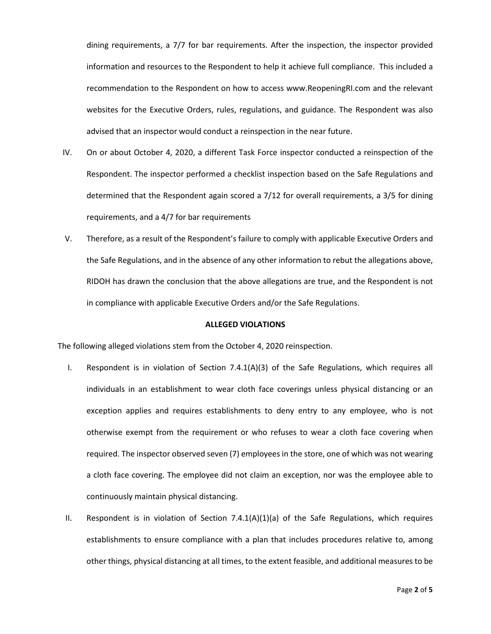dining requirements, a 7/7 for bar requirements. After the inspection, the inspector provided information and resources to the Respondent to help it achieve full compliance. This included a recommendation to the Respondent on how to access www.ReopeningRI.com and the relevant websites for the Executive Orders, rules, regulations, and guidance. The Respondent was also advised that an inspector would conduct a reinspection in the near future.

- IV. On or about October 4, 2020, a different Task Force inspector conducted a reinspection of the Respondent. The inspector performed a checklist inspection based on the Safe Regulations and determined that the Respondent again scored a 7/12 for overall requirements, a 3/5 for dining requirements, and a 4/7 for bar requirements
- V. Therefore, as a result of the Respondent's failure to comply with applicable Executive Orders and the Safe Regulations, and in the absence of any other information to rebut the allegations above, RIDOH has drawn the conclusion that the above allegations are true, and the Respondent is not in compliance with applicable Executive Orders and/or the Safe Regulations.

### **ALLEGED VIOLATIONS**

The following alleged violations stem from the October 4, 2020 reinspection.

- I. Respondent is in violation of Section 7.4.1(A)(3) of the Safe Regulations, which requires all individuals in an establishment to wear cloth face coverings unless physical distancing or an exception applies and requires establishments to deny entry to any employee, who is not otherwise exempt from the requirement or who refuses to wear a cloth face covering when required. The inspector observed seven (7) employees in the store, one of which was not wearing a cloth face covering. The employee did not claim an exception, nor was the employee able to continuously maintain physical distancing.
- II. Respondent is in violation of Section  $7.4.1(A)(1)(a)$  of the Safe Regulations, which requires establishments to ensure compliance with a plan that includes procedures relative to, among other things, physical distancing at all times, to the extent feasible, and additional measures to be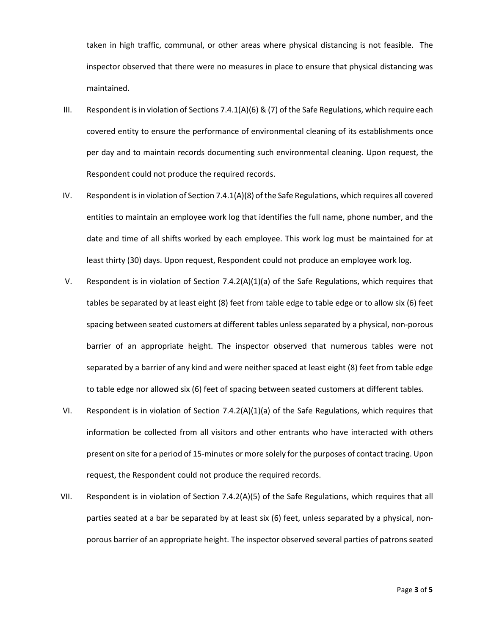taken in high traffic, communal, or other areas where physical distancing is not feasible. The inspector observed that there were no measures in place to ensure that physical distancing was maintained.

- III. Respondent is in violation of Sections 7.4.1(A)(6) & (7) of the Safe Regulations, which require each covered entity to ensure the performance of environmental cleaning of its establishments once per day and to maintain records documenting such environmental cleaning. Upon request, the Respondent could not produce the required records.
- IV. Respondent is in violation of Section 7.4.1(A)(8) of the Safe Regulations, which requires all covered entities to maintain an employee work log that identifies the full name, phone number, and the date and time of all shifts worked by each employee. This work log must be maintained for at least thirty (30) days. Upon request, Respondent could not produce an employee work log.
- V. Respondent is in violation of Section 7.4.2(A)(1)(a) of the Safe Regulations, which requires that tables be separated by at least eight (8) feet from table edge to table edge or to allow six (6) feet spacing between seated customers at different tables unless separated by a physical, non-porous barrier of an appropriate height. The inspector observed that numerous tables were not separated by a barrier of any kind and were neither spaced at least eight (8) feet from table edge to table edge nor allowed six (6) feet of spacing between seated customers at different tables.
- VI. Respondent is in violation of Section 7.4.2(A)(1)(a) of the Safe Regulations, which requires that information be collected from all visitors and other entrants who have interacted with others present on site for a period of 15-minutes or more solely for the purposes of contact tracing. Upon request, the Respondent could not produce the required records.
- VII. Respondent is in violation of Section 7.4.2(A)(5) of the Safe Regulations, which requires that all parties seated at a bar be separated by at least six (6) feet, unless separated by a physical, nonporous barrier of an appropriate height. The inspector observed several parties of patrons seated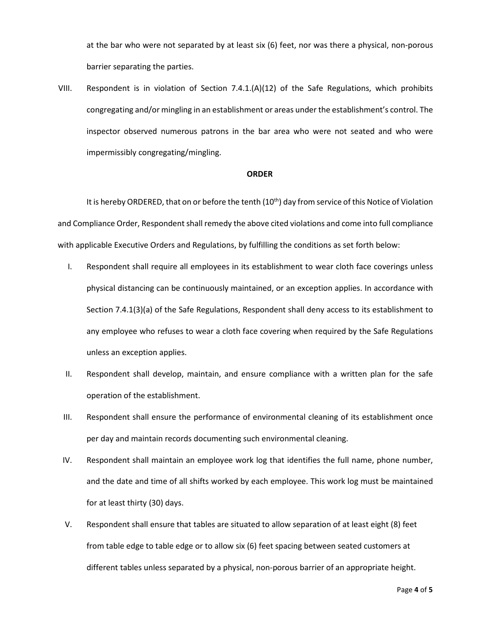at the bar who were not separated by at least six (6) feet, nor was there a physical, non-porous barrier separating the parties.

VIII. Respondent is in violation of Section 7.4.1.(A)(12) of the Safe Regulations, which prohibits congregating and/or mingling in an establishment or areas under the establishment's control. The inspector observed numerous patrons in the bar area who were not seated and who were impermissibly congregating/mingling.

## **ORDER**

It is hereby ORDERED, that on or before the tenth (10<sup>th</sup>) day from service of this Notice of Violation and Compliance Order, Respondent shall remedy the above cited violations and come into full compliance with applicable Executive Orders and Regulations, by fulfilling the conditions as set forth below:

- I. Respondent shall require all employees in its establishment to wear cloth face coverings unless physical distancing can be continuously maintained, or an exception applies. In accordance with Section 7.4.1(3)(a) of the Safe Regulations, Respondent shall deny access to its establishment to any employee who refuses to wear a cloth face covering when required by the Safe Regulations unless an exception applies.
- II. Respondent shall develop, maintain, and ensure compliance with a written plan for the safe operation of the establishment.
- III. Respondent shall ensure the performance of environmental cleaning of its establishment once per day and maintain records documenting such environmental cleaning.
- IV. Respondent shall maintain an employee work log that identifies the full name, phone number, and the date and time of all shifts worked by each employee. This work log must be maintained for at least thirty (30) days.
- V. Respondent shall ensure that tables are situated to allow separation of at least eight (8) feet from table edge to table edge or to allow six (6) feet spacing between seated customers at different tables unless separated by a physical, non-porous barrier of an appropriate height.